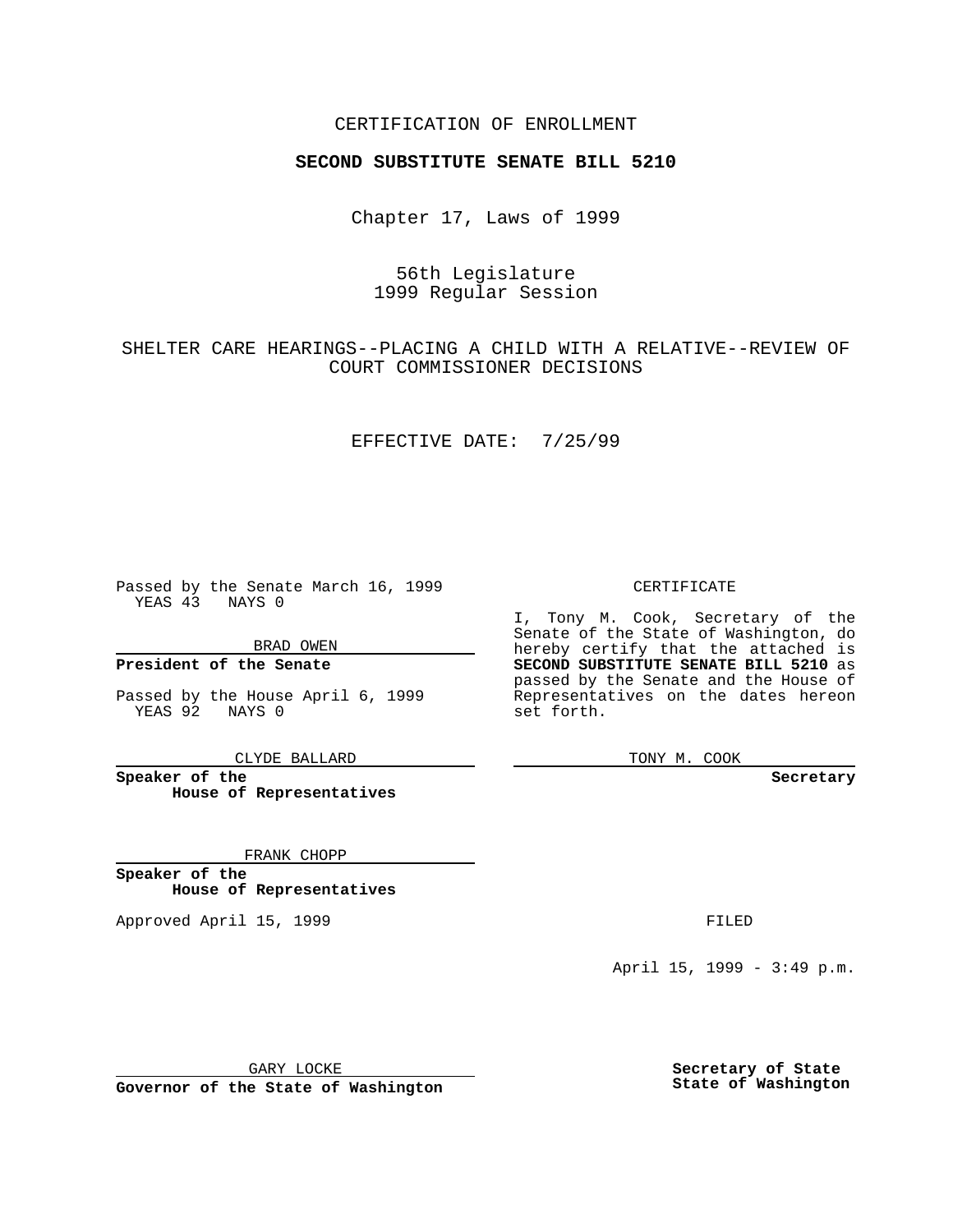### CERTIFICATION OF ENROLLMENT

# **SECOND SUBSTITUTE SENATE BILL 5210**

Chapter 17, Laws of 1999

## 56th Legislature 1999 Regular Session

## SHELTER CARE HEARINGS--PLACING A CHILD WITH A RELATIVE--REVIEW OF COURT COMMISSIONER DECISIONS

#### EFFECTIVE DATE: 7/25/99

Passed by the Senate March 16, 1999 YEAS 43 NAYS 0

BRAD OWEN

**President of the Senate**

Passed by the House April 6, 1999 YEAS 92 NAYS 0

CLYDE BALLARD

**Speaker of the House of Representatives**

FRANK CHOPP

**Speaker of the House of Representatives**

Approved April 15, 1999 **FILED** 

### CERTIFICATE

I, Tony M. Cook, Secretary of the Senate of the State of Washington, do hereby certify that the attached is **SECOND SUBSTITUTE SENATE BILL 5210** as passed by the Senate and the House of Representatives on the dates hereon set forth.

TONY M. COOK

**Secretary**

April 15, 1999 - 3:49 p.m.

GARY LOCKE

**Governor of the State of Washington**

**Secretary of State State of Washington**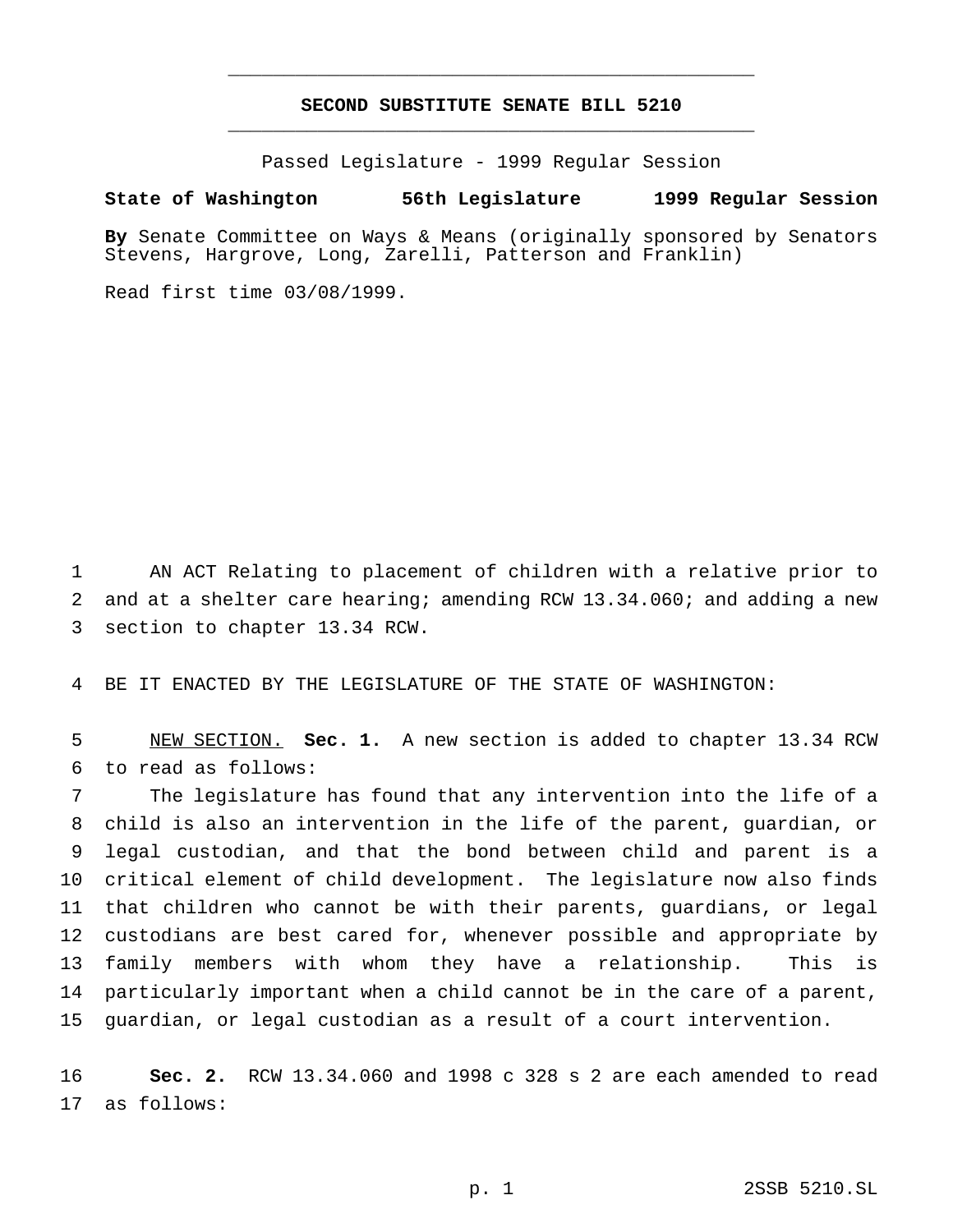## **SECOND SUBSTITUTE SENATE BILL 5210** \_\_\_\_\_\_\_\_\_\_\_\_\_\_\_\_\_\_\_\_\_\_\_\_\_\_\_\_\_\_\_\_\_\_\_\_\_\_\_\_\_\_\_\_\_\_\_

\_\_\_\_\_\_\_\_\_\_\_\_\_\_\_\_\_\_\_\_\_\_\_\_\_\_\_\_\_\_\_\_\_\_\_\_\_\_\_\_\_\_\_\_\_\_\_

Passed Legislature - 1999 Regular Session

#### **State of Washington 56th Legislature 1999 Regular Session**

**By** Senate Committee on Ways & Means (originally sponsored by Senators Stevens, Hargrove, Long, Zarelli, Patterson and Franklin)

Read first time 03/08/1999.

 AN ACT Relating to placement of children with a relative prior to and at a shelter care hearing; amending RCW 13.34.060; and adding a new section to chapter 13.34 RCW.

BE IT ENACTED BY THE LEGISLATURE OF THE STATE OF WASHINGTON:

 NEW SECTION. **Sec. 1.** A new section is added to chapter 13.34 RCW to read as follows:

 The legislature has found that any intervention into the life of a child is also an intervention in the life of the parent, guardian, or legal custodian, and that the bond between child and parent is a critical element of child development. The legislature now also finds that children who cannot be with their parents, guardians, or legal custodians are best cared for, whenever possible and appropriate by family members with whom they have a relationship. This is particularly important when a child cannot be in the care of a parent, guardian, or legal custodian as a result of a court intervention.

 **Sec. 2.** RCW 13.34.060 and 1998 c 328 s 2 are each amended to read as follows: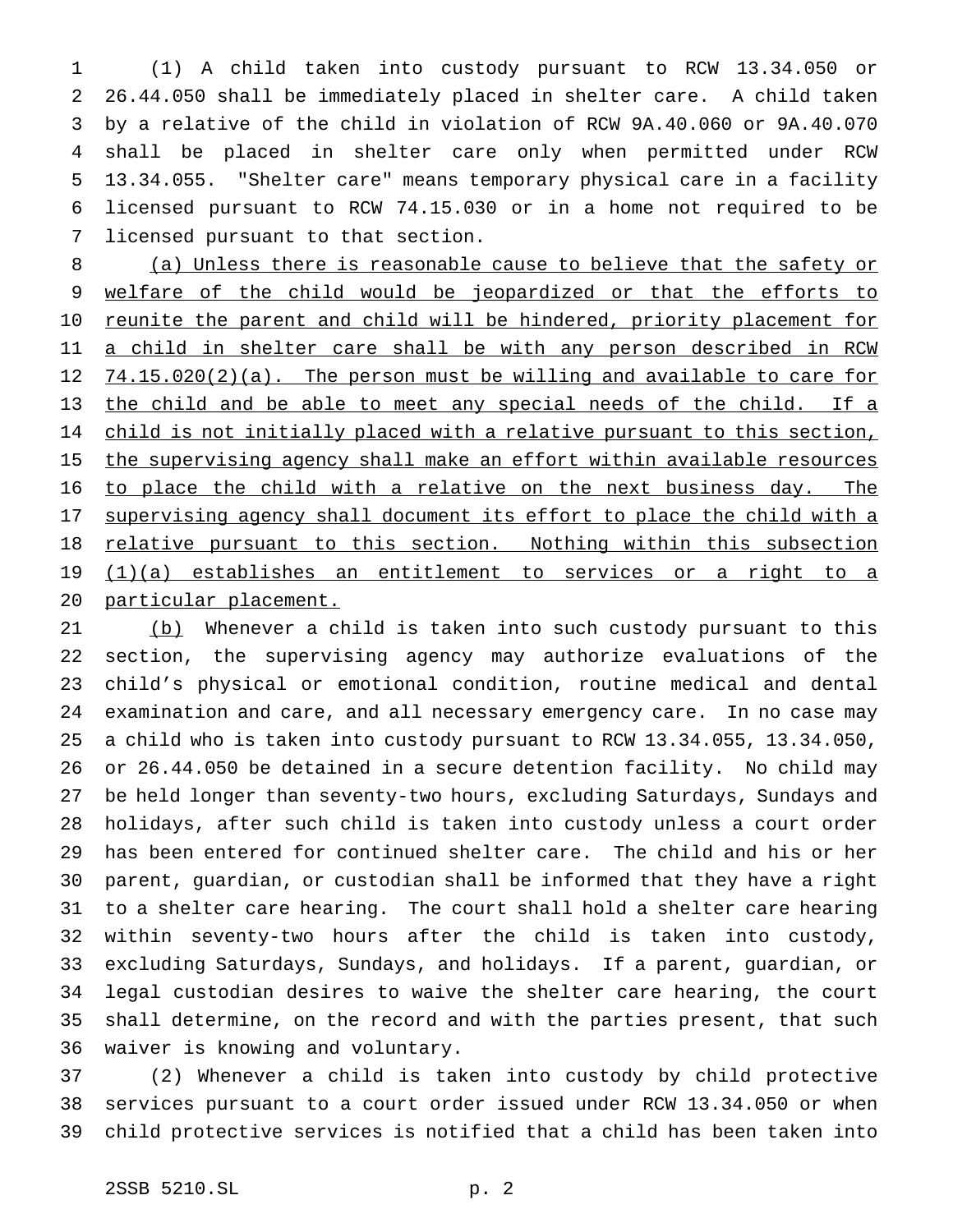(1) A child taken into custody pursuant to RCW 13.34.050 or 26.44.050 shall be immediately placed in shelter care. A child taken by a relative of the child in violation of RCW 9A.40.060 or 9A.40.070 shall be placed in shelter care only when permitted under RCW 13.34.055. "Shelter care" means temporary physical care in a facility licensed pursuant to RCW 74.15.030 or in a home not required to be licensed pursuant to that section.

 (a) Unless there is reasonable cause to believe that the safety or 9 welfare of the child would be jeopardized or that the efforts to 10 reunite the parent and child will be hindered, priority placement for 11 a child in shelter care shall be with any person described in RCW 12 74.15.020(2)(a). The person must be willing and available to care for 13 the child and be able to meet any special needs of the child. If a 14 child is not initially placed with a relative pursuant to this section, 15 the supervising agency shall make an effort within available resources to place the child with a relative on the next business day. The 17 supervising agency shall document its effort to place the child with a 18 relative pursuant to this section. Nothing within this subsection (1)(a) establishes an entitlement to services or a right to a particular placement.

21 (b) Whenever a child is taken into such custody pursuant to this section, the supervising agency may authorize evaluations of the child's physical or emotional condition, routine medical and dental examination and care, and all necessary emergency care. In no case may a child who is taken into custody pursuant to RCW 13.34.055, 13.34.050, or 26.44.050 be detained in a secure detention facility. No child may be held longer than seventy-two hours, excluding Saturdays, Sundays and holidays, after such child is taken into custody unless a court order has been entered for continued shelter care. The child and his or her parent, guardian, or custodian shall be informed that they have a right to a shelter care hearing. The court shall hold a shelter care hearing within seventy-two hours after the child is taken into custody, excluding Saturdays, Sundays, and holidays. If a parent, guardian, or legal custodian desires to waive the shelter care hearing, the court shall determine, on the record and with the parties present, that such waiver is knowing and voluntary.

 (2) Whenever a child is taken into custody by child protective services pursuant to a court order issued under RCW 13.34.050 or when child protective services is notified that a child has been taken into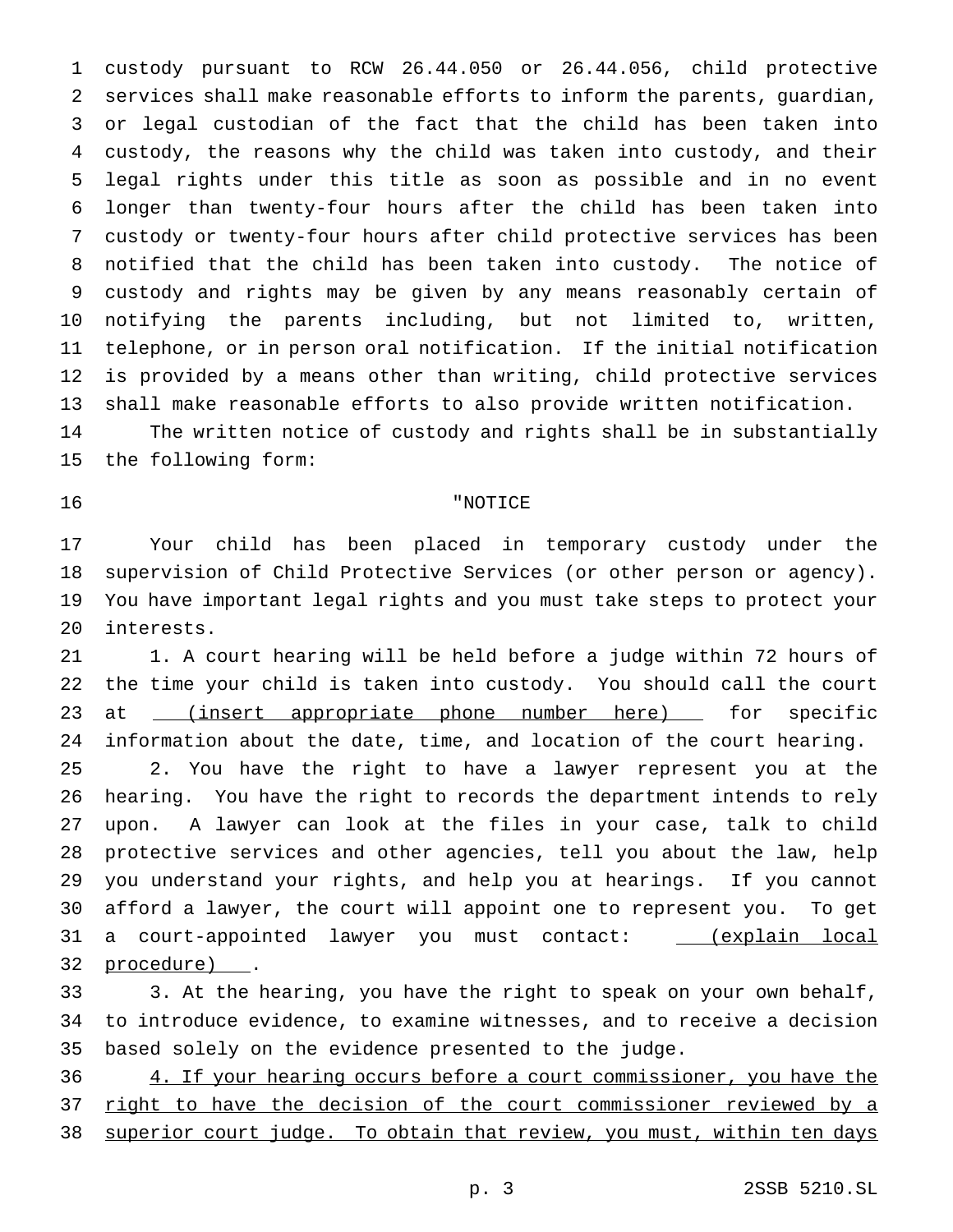custody pursuant to RCW 26.44.050 or 26.44.056, child protective services shall make reasonable efforts to inform the parents, guardian, or legal custodian of the fact that the child has been taken into custody, the reasons why the child was taken into custody, and their legal rights under this title as soon as possible and in no event longer than twenty-four hours after the child has been taken into custody or twenty-four hours after child protective services has been notified that the child has been taken into custody. The notice of custody and rights may be given by any means reasonably certain of notifying the parents including, but not limited to, written, telephone, or in person oral notification. If the initial notification is provided by a means other than writing, child protective services shall make reasonable efforts to also provide written notification.

 The written notice of custody and rights shall be in substantially the following form:

"NOTICE

 Your child has been placed in temporary custody under the supervision of Child Protective Services (or other person or agency). You have important legal rights and you must take steps to protect your interests.

21 1. A court hearing will be held before a judge within 72 hours of the time your child is taken into custody. You should call the court 23 at \_\_(insert appropriate phone number here) \_\_ for specific information about the date, time, and location of the court hearing. 2. You have the right to have a lawyer represent you at the hearing. You have the right to records the department intends to rely upon. A lawyer can look at the files in your case, talk to child protective services and other agencies, tell you about the law, help you understand your rights, and help you at hearings. If you cannot afford a lawyer, the court will appoint one to represent you. To get 31 a court-appointed lawyer you must contact: \_\_\_(explain local procedure) .

 3. At the hearing, you have the right to speak on your own behalf, to introduce evidence, to examine witnesses, and to receive a decision based solely on the evidence presented to the judge.

 4. If your hearing occurs before a court commissioner, you have the right to have the decision of the court commissioner reviewed by a 38 superior court judge. To obtain that review, you must, within ten days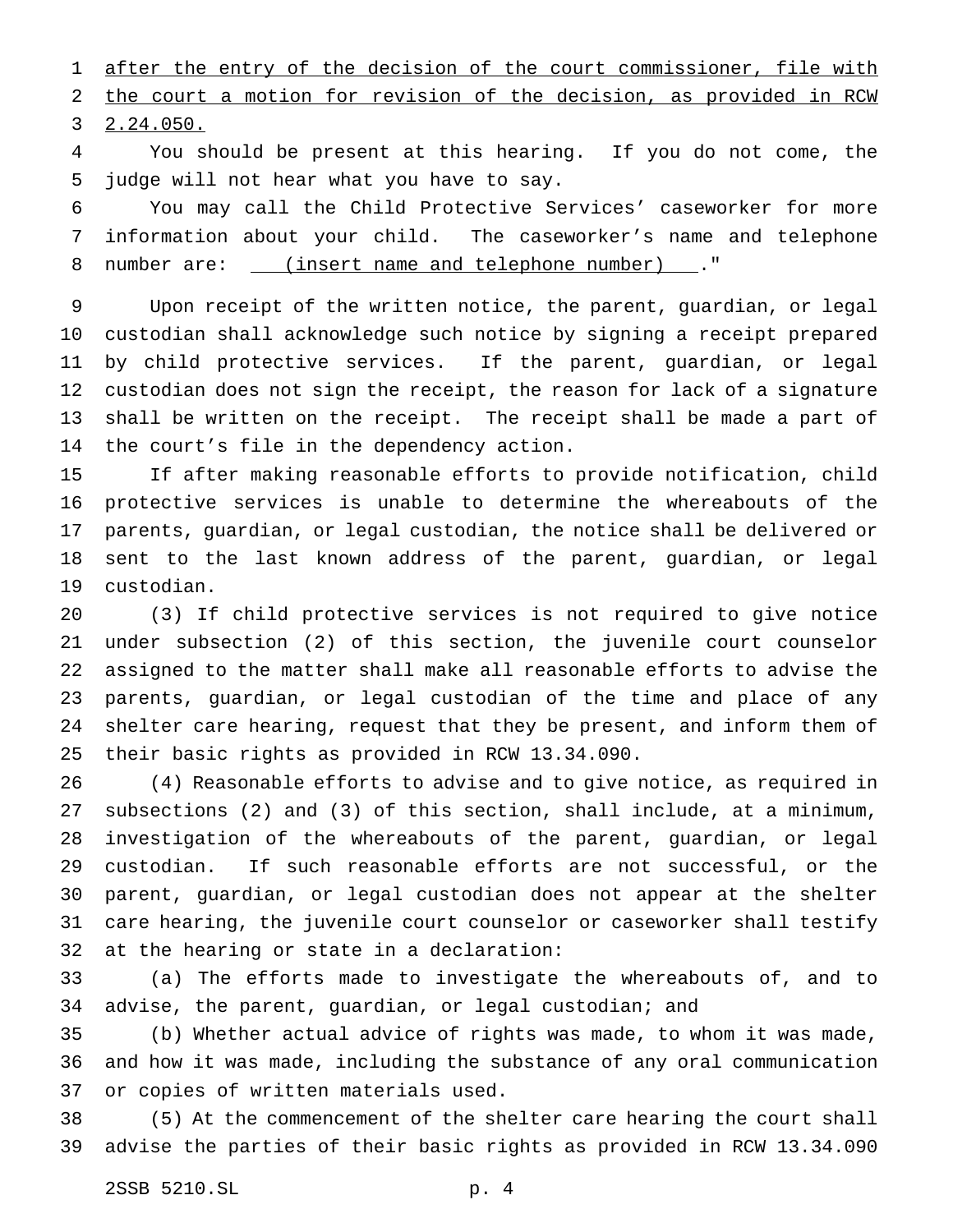1 after the entry of the decision of the court commissioner, file with the court a motion for revision of the decision, as provided in RCW 2.24.050.

 You should be present at this hearing. If you do not come, the judge will not hear what you have to say.

 You may call the Child Protective Services' caseworker for more information about your child. The caseworker's name and telephone 8 number are: \_\_\_ (insert name and telephone number) \_\_\_. "

 Upon receipt of the written notice, the parent, guardian, or legal custodian shall acknowledge such notice by signing a receipt prepared by child protective services. If the parent, guardian, or legal custodian does not sign the receipt, the reason for lack of a signature shall be written on the receipt. The receipt shall be made a part of the court's file in the dependency action.

 If after making reasonable efforts to provide notification, child protective services is unable to determine the whereabouts of the parents, guardian, or legal custodian, the notice shall be delivered or sent to the last known address of the parent, guardian, or legal custodian.

 (3) If child protective services is not required to give notice under subsection (2) of this section, the juvenile court counselor assigned to the matter shall make all reasonable efforts to advise the parents, guardian, or legal custodian of the time and place of any shelter care hearing, request that they be present, and inform them of their basic rights as provided in RCW 13.34.090.

 (4) Reasonable efforts to advise and to give notice, as required in subsections (2) and (3) of this section, shall include, at a minimum, investigation of the whereabouts of the parent, guardian, or legal custodian. If such reasonable efforts are not successful, or the parent, guardian, or legal custodian does not appear at the shelter care hearing, the juvenile court counselor or caseworker shall testify at the hearing or state in a declaration:

 (a) The efforts made to investigate the whereabouts of, and to advise, the parent, guardian, or legal custodian; and

 (b) Whether actual advice of rights was made, to whom it was made, and how it was made, including the substance of any oral communication or copies of written materials used.

 (5) At the commencement of the shelter care hearing the court shall advise the parties of their basic rights as provided in RCW 13.34.090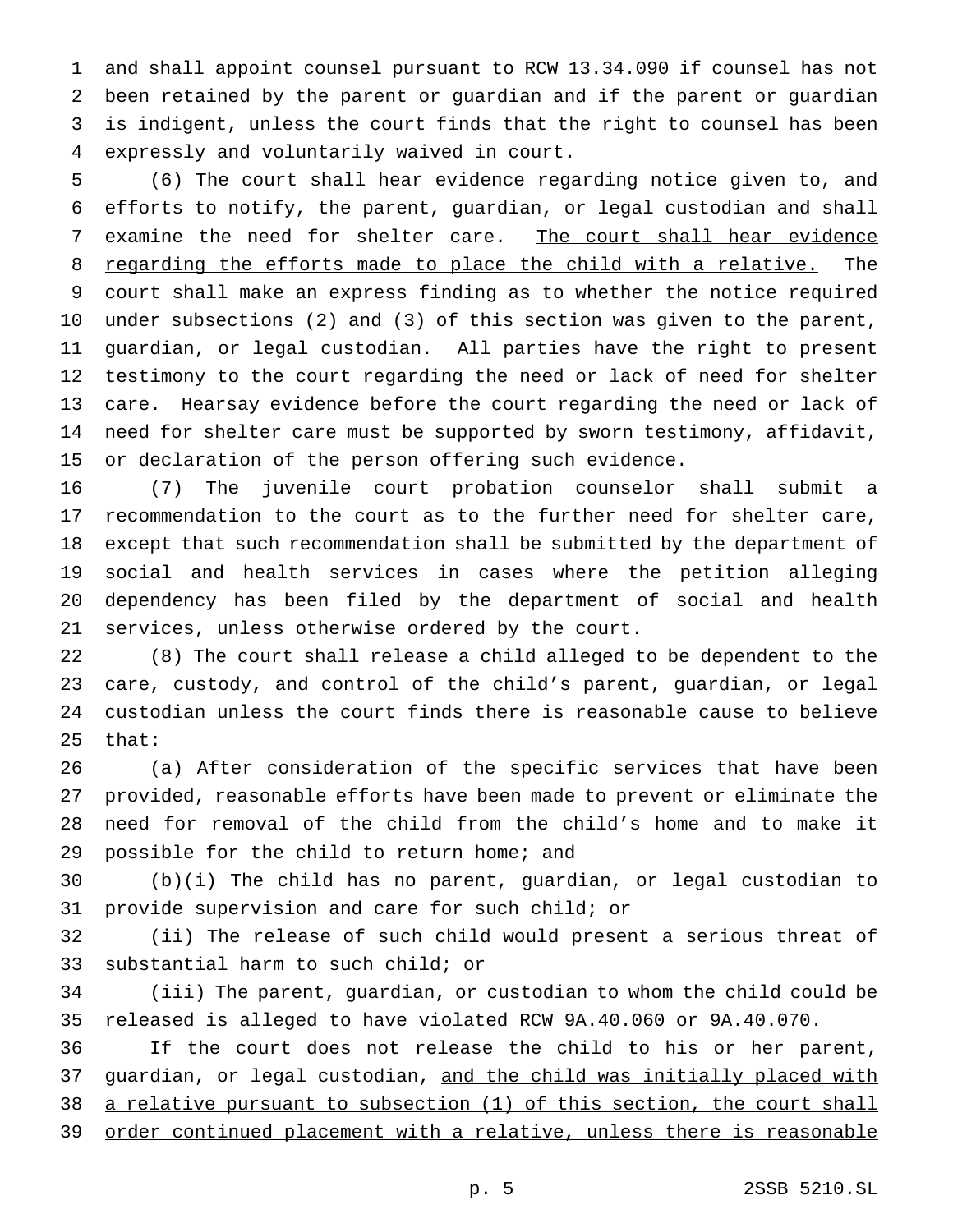and shall appoint counsel pursuant to RCW 13.34.090 if counsel has not been retained by the parent or guardian and if the parent or guardian is indigent, unless the court finds that the right to counsel has been expressly and voluntarily waived in court.

 (6) The court shall hear evidence regarding notice given to, and efforts to notify, the parent, guardian, or legal custodian and shall 7 examine the need for shelter care. The court shall hear evidence 8 regarding the efforts made to place the child with a relative. The court shall make an express finding as to whether the notice required under subsections (2) and (3) of this section was given to the parent, guardian, or legal custodian. All parties have the right to present testimony to the court regarding the need or lack of need for shelter care. Hearsay evidence before the court regarding the need or lack of need for shelter care must be supported by sworn testimony, affidavit, or declaration of the person offering such evidence.

 (7) The juvenile court probation counselor shall submit a recommendation to the court as to the further need for shelter care, except that such recommendation shall be submitted by the department of social and health services in cases where the petition alleging dependency has been filed by the department of social and health services, unless otherwise ordered by the court.

 (8) The court shall release a child alleged to be dependent to the care, custody, and control of the child's parent, guardian, or legal custodian unless the court finds there is reasonable cause to believe that:

 (a) After consideration of the specific services that have been provided, reasonable efforts have been made to prevent or eliminate the need for removal of the child from the child's home and to make it possible for the child to return home; and

 (b)(i) The child has no parent, guardian, or legal custodian to provide supervision and care for such child; or

 (ii) The release of such child would present a serious threat of substantial harm to such child; or

 (iii) The parent, guardian, or custodian to whom the child could be released is alleged to have violated RCW 9A.40.060 or 9A.40.070.

 If the court does not release the child to his or her parent, 37 guardian, or legal custodian, and the child was initially placed with a relative pursuant to subsection (1) of this section, the court shall 39 order continued placement with a relative, unless there is reasonable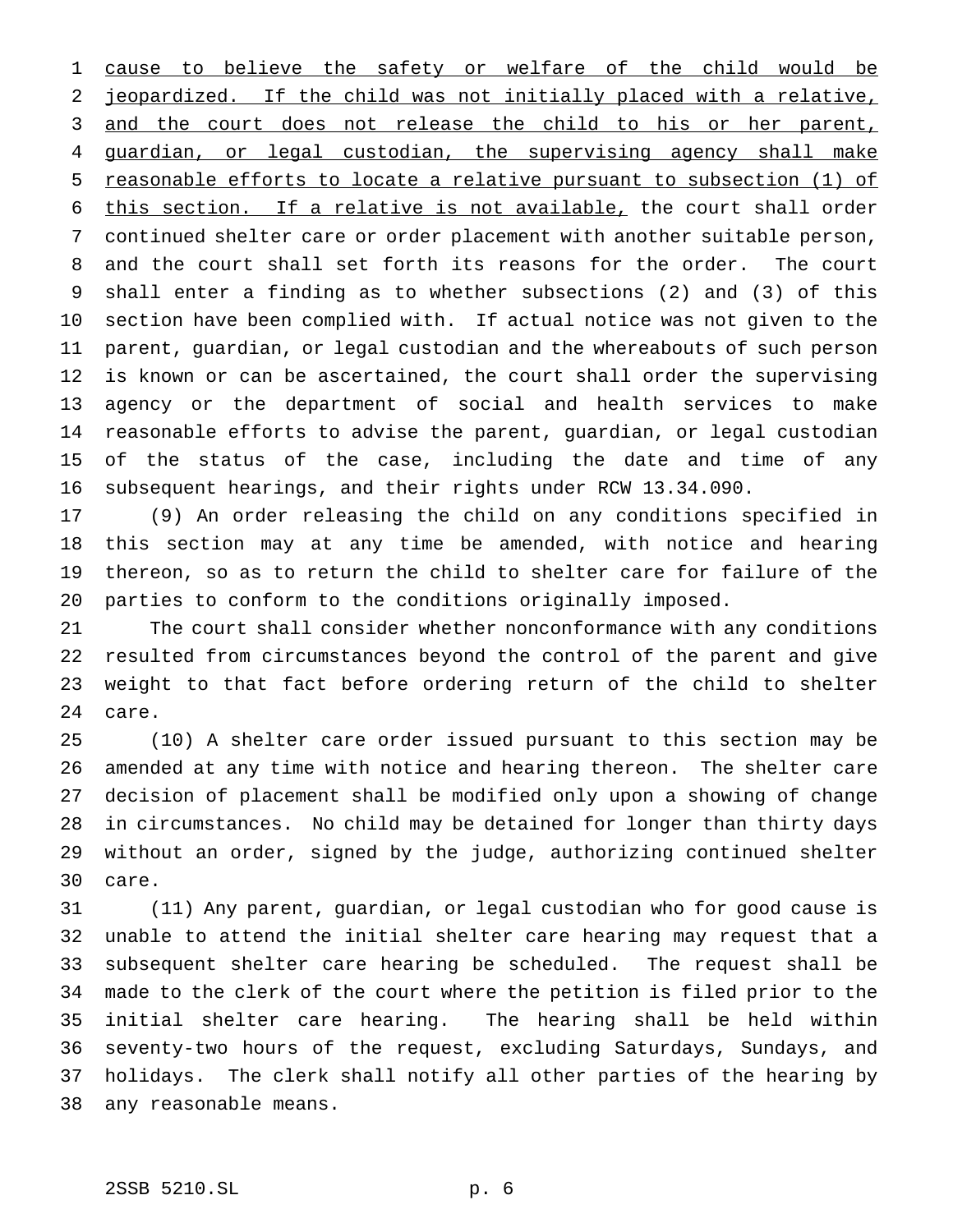1 cause to believe the safety or welfare of the child would be jeopardized. If the child was not initially placed with a relative, 3 and the court does not release the child to his or her parent, 4 guardian, or legal custodian, the supervising agency shall make reasonable efforts to locate a relative pursuant to subsection (1) of this section. If a relative is not available, the court shall order continued shelter care or order placement with another suitable person, and the court shall set forth its reasons for the order. The court shall enter a finding as to whether subsections (2) and (3) of this section have been complied with. If actual notice was not given to the parent, guardian, or legal custodian and the whereabouts of such person is known or can be ascertained, the court shall order the supervising agency or the department of social and health services to make reasonable efforts to advise the parent, guardian, or legal custodian of the status of the case, including the date and time of any subsequent hearings, and their rights under RCW 13.34.090.

 (9) An order releasing the child on any conditions specified in this section may at any time be amended, with notice and hearing thereon, so as to return the child to shelter care for failure of the parties to conform to the conditions originally imposed.

 The court shall consider whether nonconformance with any conditions resulted from circumstances beyond the control of the parent and give weight to that fact before ordering return of the child to shelter care.

 (10) A shelter care order issued pursuant to this section may be amended at any time with notice and hearing thereon. The shelter care decision of placement shall be modified only upon a showing of change in circumstances. No child may be detained for longer than thirty days without an order, signed by the judge, authorizing continued shelter care.

 (11) Any parent, guardian, or legal custodian who for good cause is unable to attend the initial shelter care hearing may request that a subsequent shelter care hearing be scheduled. The request shall be made to the clerk of the court where the petition is filed prior to the initial shelter care hearing. The hearing shall be held within seventy-two hours of the request, excluding Saturdays, Sundays, and holidays. The clerk shall notify all other parties of the hearing by any reasonable means.